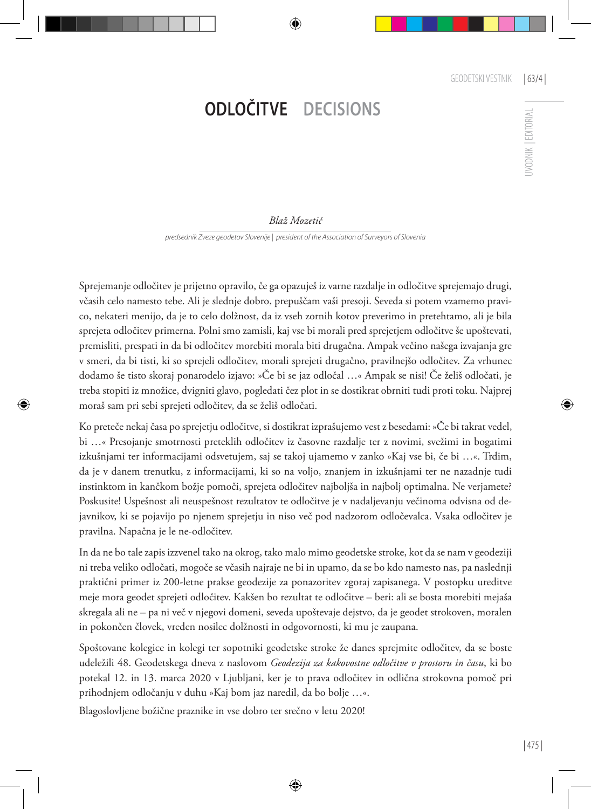## **ODLOČITVE DECISIONS**

## *Blaž Mozetič*

*predsednik Zveze geodetov Slovenije | president of the Association of Surveyors of Slovenia*

Sprejemanje odločitev je prijetno opravilo, če ga opazuješ iz varne razdalje in odločitve sprejemajo drugi, včasih celo namesto tebe. Ali je slednje dobro, prepuščam vaši presoji. Seveda si potem vzamemo pravico, nekateri menijo, da je to celo dolžnost, da iz vseh zornih kotov preverimo in pretehtamo, ali je bila sprejeta odločitev primerna. Polni smo zamisli, kaj vse bi morali pred sprejetjem odločitve še upoštevati, premisliti, prespati in da bi odločitev morebiti morala biti drugačna. Ampak večino našega izvajanja gre v smeri, da bi tisti, ki so sprejeli odločitev, morali sprejeti drugačno, pravilnejšo odločitev. Za vrhunec dodamo še tisto skoraj ponarodelo izjavo: »Če bi se jaz odločal …« Ampak se nisi! Če želiš odločati, je treba stopiti iz množice, dvigniti glavo, pogledati čez plot in se dostikrat obrniti tudi proti toku. Najprej moraš sam pri sebi sprejeti odločitev, da se želiš odločati.

Ko preteče nekaj časa po sprejetju odločitve, si dostikrat izprašujemo vest z besedami: »Če bi takrat vedel, bi …« Presojanje smotrnosti preteklih odločitev iz časovne razdalje ter z novimi, svežimi in bogatimi izkušnjami ter informacijami odsvetujem, saj se takoj ujamemo v zanko »Kaj vse bi, če bi …«. Trdim, da je v danem trenutku, z informacijami, ki so na voljo, znanjem in izkušnjami ter ne nazadnje tudi instinktom in kančkom božje pomoči, sprejeta odločitev najboljša in najbolj optimalna. Ne verjamete? Poskusite! Uspešnost ali neuspešnost rezultatov te odločitve je v nadaljevanju večinoma odvisna od dejavnikov, ki se pojavijo po njenem sprejetju in niso več pod nadzorom odločevalca. Vsaka odločitev je pravilna. Napačna je le ne-odločitev.

In da ne bo tale zapis izzvenel tako na okrog, tako malo mimo geodetske stroke, kot da se nam v geodeziji ni treba veliko odločati, mogoče se včasih najraje ne bi in upamo, da se bo kdo namesto nas, pa naslednji praktični primer iz 200-letne prakse geodezije za ponazoritev zgoraj zapisanega. V postopku ureditve meje mora geodet sprejeti odločitev. Kakšen bo rezultat te odločitve – beri: ali se bosta morebiti mejaša skregala ali ne – pa ni več v njegovi domeni, seveda upoštevaje dejstvo, da je geodet strokoven, moralen in pokončen človek, vreden nosilec dolžnosti in odgovornosti, ki mu je zaupana.

Spoštovane kolegice in kolegi ter sopotniki geodetske stroke že danes sprejmite odločitev, da se boste udeležili 48. Geodetskega dneva z naslovom *Geodezija za kakovostne odločitve v prostoru in času*, ki bo potekal 12. in 13. marca 2020 v Ljubljani, ker je to prava odločitev in odlična strokovna pomoč pri prihodnjem odločanju v duhu »Kaj bom jaz naredil, da bo bolje …«.

Blagoslovljene božične praznike in vse dobro ter srečno v letu 2020!